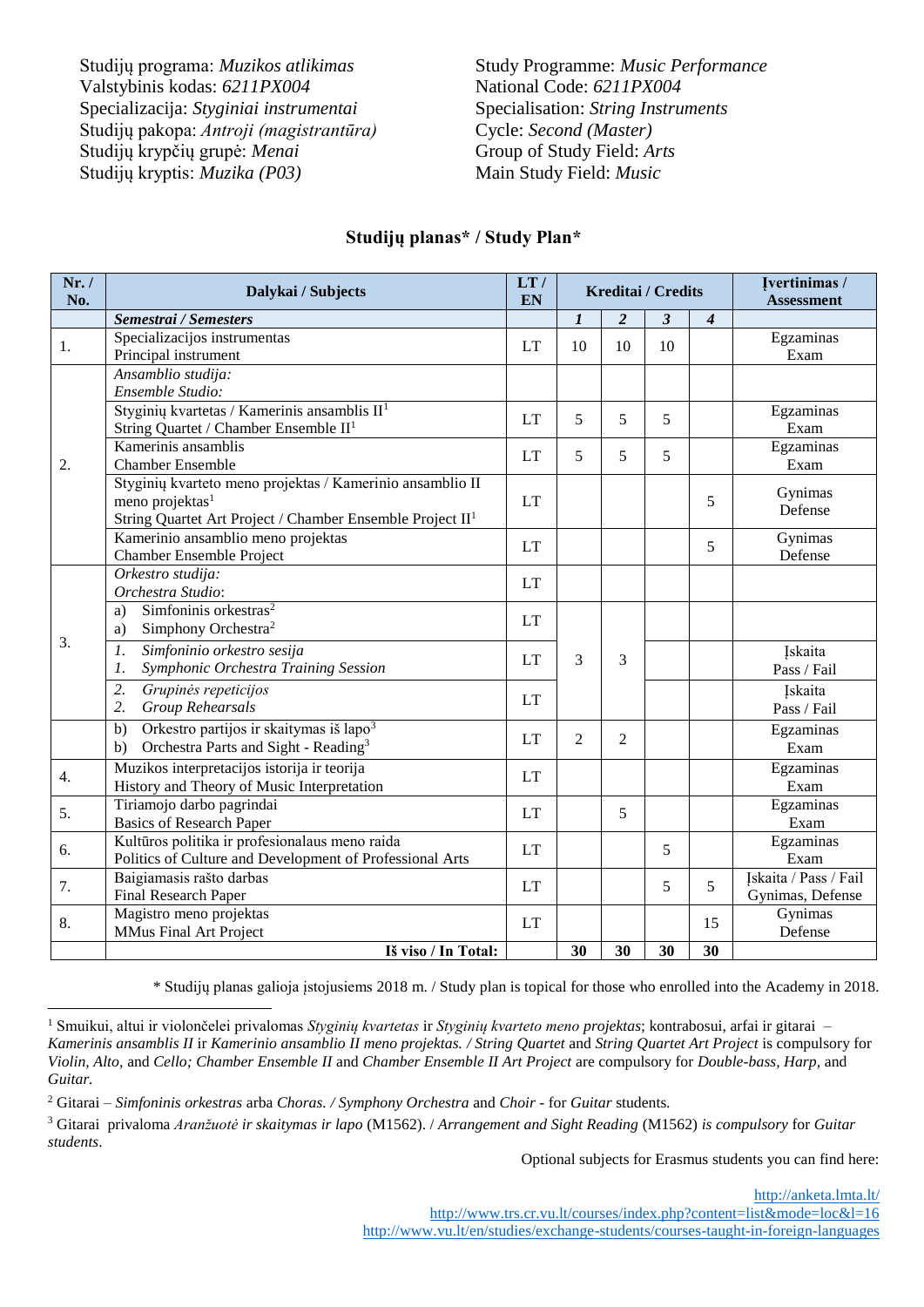Studijų programa: *Muzikos atlikimas* Study Programme: *Music Performance* Valstybinis kodas:  $6211PX004$  National Code:  $6211PX004$ Specializacija: *Styginiai instrumentai* Specialisation: *String Instruments* Studijų pakopa: *Antroji (magistrantūra)* Cycle: *Second (Master)* Studijų krypčių grupė: *Menai* Group of Study Field: *Arts* Studijų kryptis: *Muzika (P03)* Main Study Field: *Music*

| Nr. /<br>No. | Dalykai / Subjects                                                                                                                                                | LT/<br>EN | Kreditai / Credits |                |    | Ivertinimas /<br><b>Assessment</b> |                                           |
|--------------|-------------------------------------------------------------------------------------------------------------------------------------------------------------------|-----------|--------------------|----------------|----|------------------------------------|-------------------------------------------|
|              | Semestrai / Semesters                                                                                                                                             |           | $\boldsymbol{l}$   | 2              | 3  | $\boldsymbol{4}$                   |                                           |
| 1.           | Specializacijos instrumentas<br>Principal instrument                                                                                                              | <b>LT</b> | 10                 | 10             | 10 |                                    | Egzaminas<br>Exam                         |
| 2.           | Ansamblio studija:<br>Ensemble Studio:                                                                                                                            |           |                    |                |    |                                    |                                           |
|              | Styginių kvartetas / Kamerinis ansamblis $II1$<br>String Quartet / Chamber Ensemble II <sup>1</sup>                                                               | LT        | 5                  | 5              | 5  |                                    | Egzaminas<br>Exam                         |
|              | Kamerinis ansamblis<br><b>Chamber Ensemble</b>                                                                                                                    | LT        | 5                  | 5              | 5  |                                    | Egzaminas<br>Exam                         |
|              | Styginių kvarteto meno projektas / Kamerinio ansamblio II<br>meno projektas <sup>1</sup><br>String Quartet Art Project / Chamber Ensemble Project II <sup>1</sup> | <b>LT</b> |                    |                |    | 5                                  | Gynimas<br>Defense                        |
|              | Kamerinio ansamblio meno projektas<br>Chamber Ensemble Project                                                                                                    | LT        |                    |                |    | 5                                  | Gynimas<br>Defense                        |
| 3.           | Orkestro studija:<br>Orchestra Studio:                                                                                                                            | <b>LT</b> |                    |                |    |                                    |                                           |
|              | Simfoninis orkestras <sup>2</sup><br>a)<br>Simphony Orchestra <sup>2</sup><br>a)                                                                                  | <b>LT</b> |                    |                |    |                                    |                                           |
|              | Simfoninio orkestro sesija<br>$\mathfrak{1}.$<br>Symphonic Orchestra Training Session<br>1.                                                                       | <b>LT</b> | 3                  | $\mathcal{F}$  |    |                                    | <b>Iskaita</b><br>Pass / Fail             |
|              | 2.<br>Grupinės repeticijos<br>2.<br>Group Rehearsals                                                                                                              | <b>LT</b> |                    |                |    |                                    | <b>Iskaita</b><br>Pass / Fail             |
|              | Orkestro partijos ir skaitymas iš lapo <sup>3</sup><br>b)<br>Orchestra Parts and Sight - Reading <sup>3</sup><br>b)                                               | LT        | $\overline{2}$     | $\overline{2}$ |    |                                    | Egzaminas<br>Exam                         |
| 4.           | Muzikos interpretacijos istorija ir teorija<br>History and Theory of Music Interpretation                                                                         | <b>LT</b> |                    |                |    |                                    | Egzaminas<br>Exam                         |
| 5.           | Tiriamojo darbo pagrindai<br><b>Basics of Research Paper</b>                                                                                                      | LT        |                    | 5              |    |                                    | Egzaminas<br>Exam                         |
| 6.           | Kultūros politika ir profesionalaus meno raida<br>Politics of Culture and Development of Professional Arts                                                        | LT        |                    |                | 5  |                                    | Egzaminas<br>Exam                         |
| 7.           | Baigiamasis rašto darbas<br>Final Research Paper                                                                                                                  | <b>LT</b> |                    |                | 5  | $\overline{5}$                     | Iskaita / Pass / Fail<br>Gynimas, Defense |
| 8.           | Magistro meno projektas<br>MMus Final Art Project                                                                                                                 | LT        |                    |                |    | 15                                 | Gynimas<br>Defense                        |
|              | Iš viso / In Total:                                                                                                                                               |           | 30                 | 30             | 30 | 30                                 |                                           |

## **Studijų planas\* / Study Plan\***

\* Studijų planas galioja įstojusiems 2018 m. / Study plan is topical for those who enrolled into the Academy in 2018.

Optional subjects for Erasmus students you can find here:

<http://anketa.lmta.lt/> <http://www.trs.cr.vu.lt/courses/index.php?content=list&mode=loc&l=16> <http://www.vu.lt/en/studies/exchange-students/courses-taught-in-foreign-languages>

<sup>1</sup> Smuikui, altui ir violončelei privalomas *Styginių kvartetas* ir *Styginių kvarteto meno projektas*; kontrabosui, arfai ir gitarai – *Kamerinis ansamblis II* ir *Kamerinio ansamblio II meno projektas. / String Quartet* and *String Quartet Art Project* is compulsory for *Violin, Alto,* and *Cello; Chamber Ensemble II* and *Chamber Ensemble II Art Project* are compulsory for *Double-bass, Harp,* and *Guitar.*  $\overline{a}$ 

<sup>2</sup> Gitarai – *Simfoninis orkestras* arba *Choras. / Symphony Orchestra* and *Choir -* for *Guitar* students*.*

<sup>3</sup> Gitarai privaloma *Aranžuotė ir skaitymas ir lapo* (M1562). / *Arrangement and Sight Reading* (M1562) *is compulsory* for *Guitar students*.